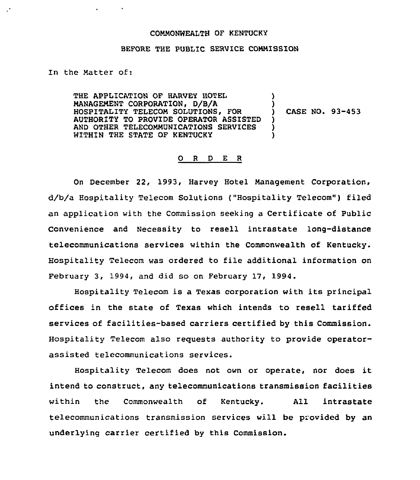## COMMONWEALTH OF KENTUCKY

#### BEFORE THE PUBLIC SERVICE CONNISSION

### In the Natter of:

 $\cdot$ 

THE APPLICATION OF HARVEY HOTEL MANAGEMENT CORPORATION, D/B/A HOSPITALITY TELECON SOLUTIONS, FOR AUTHORITY TO PROVIDE OPERATOR ASSISTED AND OTHER TELECOMMUNICATIONS SERVICES WITHIN THE STATE OF KENTUCKY ) ) ) CASE NO. 93-453 ) ) )

# 0 <sup>R</sup> <sup>D</sup> E <sup>R</sup>

On December 22, 1993, Harvey Hotel Management Corporation, d/b/a Hospitality Telecom Solutions ("Hospitality Telecom") filed an application with the Commission seeking a Certificate of Public Convenience and Necessity to resell intrastate long-distance telecommunications services within the Commonwealth of Kentucky. Hospitality Telecom was ordered to file additional information on February 3, 1994, and did so on February 17, 1994.

Hospitality Telecom is a Texas corporation with its principal offices in the state of Texas which intends to resell tariffed services of facilities-based carriers certified by this Commission. Hospitality Telecom also reguests authority to provide operatorassisted telecommunications services.

Hospitality Telecom does not own or operate, nor does it intend to construct, any telecommunications transmission facilities within the Commonwealth of Kentucky. All intrastate telecommunications transmission services will be provided by an underlying carrier certified by this Commission.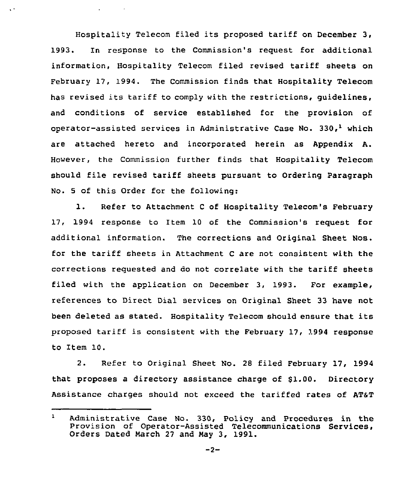Hospitality Telecom filed its proposed tariff on December 3, 1993. In response to the Commission's request for additional information, Hospitality Telecom filed revised tariff sheets on February 17, 1994. The Commission finds that Hospitality Telecom has revised its tariff to comply with the restrictions, quidelines, and conditions of service established for the provision of operator-assisted services in Administrative Case No. 330,<sup>1</sup> which are attached hereto and incorporated herein as Appendix A. However, the Commission further finds that Hospitality Telecom should file revised tariff sheets pursuant to Ordering Paragraph No. 5 of this Order for the following:

 $\mathbf{r} = \mathbf{r} \times \mathbf{r}$  , where  $\mathbf{r}$ 

 $\ddot{\phantom{a}}$ 

1. Refer to Attachment <sup>C</sup> of Hospitality Telecom's February 17, 1994 response to Item 10 of the Commission's request for additional information. The corrections and Original Sheet Nos. for the tariff sheets in Attachment <sup>C</sup> are not consistent with the corrections requested and do not correlate with the tariff sheets filed with the application on December 3, 1993. For example, references to Direct Dial services on Original Sheet 33 have not been deleted as stated. Hospitality Telecom should ensure that its proposed tariff is consistent with the February 17, 1994 response to Item 10.

2. Refer to Original Sheet No. <sup>28</sup> filed February 17, 1994 that proposes a directory assistance charge of \$1.00. Directory Assistance charges should not exceed the tariffed rates of AT&T

 $\mathbf{1}$ Administrative Case No. 330, policy and procedures in the Provision of Operator-Assisted Telecommunications Services, Orders Dated Harch 27 and Hay 3, 1991.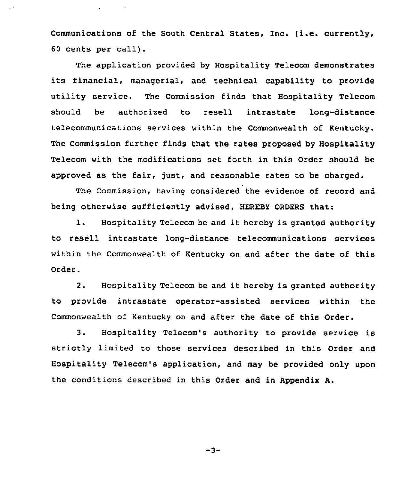Communications of the South Central States, Inc. (i.e. currently, <sup>60</sup> cents per call).

The application provided by Hospitality Telecom demonstrates its financial, managerial, and technical capability to provide utility service. The Commission finds that Hospitality Telecom should be authorized to resell intrastate long-distance telecommunications services within the Commonwealth of Kentucky. The Commission further finds that the rates proposed by Hospitality Telecom with the modifications set forth in this Order should be approved as the fair, just, and reasonable rates to be charged.

The Commission, having considered the evidence of record and being otherwise sufficiently advised, HEREBY ORDERS that:

1. Hospitality Telecom be and it hereby is granted authority to resell intrastate long-distance telecommunications services within the Commonwealth of Kentucky on and after the date of this Order.

2. Hospitality Telecom be and it hereby is granted authority to provide intrastate operator-assisted services within the Commonwealth of Kentucky on and after the date of this Order.

3. Hospitality Telecom's authority to provide service is strictly limited to those services described in this Order and Hospitality Telecom's application, and may be provided only upon the conditions described in this Order and in Appendix A.

 $-3-$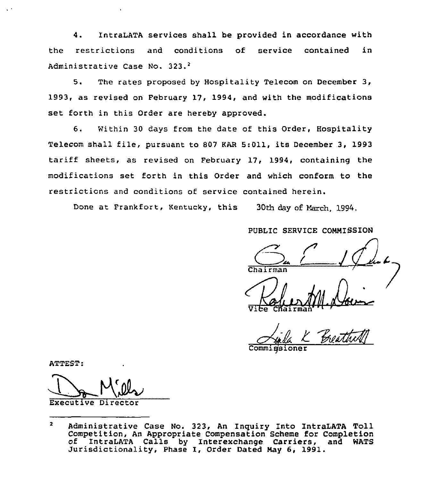4. IntraLATA services shall be provided in accordance with the restrictions and conditions of service contained in Administrative Case No. 323.<sup>2</sup>

5. The rates proposed by Hospitality Telecom on December 3, 1993, as revised on February 17, 1994, and with the modifications set forth in this Order are hereby approved.

6. Within 30 days from the date of this Order, Hospitality Telecom shall file, pursuant to <sup>907</sup> KAR 5:011, its December 3, 1993 tariff sheets, as revised on February 17, 1994, containing the modifications set forth in this Order and which conform to the restrictions and conditions of service contained herein.

Done at Frankfort, Kentucky, this 30th day of March, 1994.

PUBLIC SERVICE COMMISSION

ViCe

CHairman'''TTEST:

Commissione

ATTEST:

Executive Direct

 $\mathbf{z}$ Administrative Case No. 323, An Inguiry Into IntraLATA Toll Competition, An Appropriate Compensation Scheme for Completion of IntraLATA Calls by Interexchange Carriers, and WATS Jurisdictionality, Phase I, Order Dated Nay 6, 1991.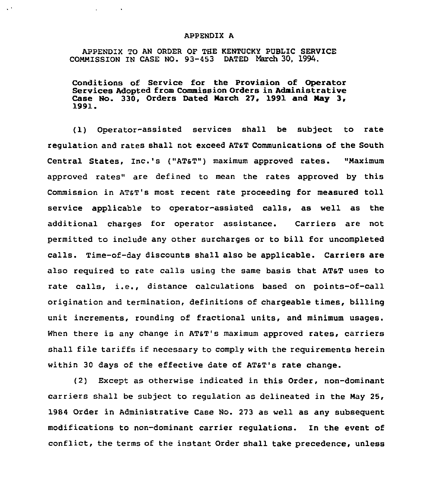### APPENDIX A

APPENDIX TO AN ORDER OF THE KENTUCKY PUBLIC SERVICE COMMISSION IN CASE NO. 93-453 DATED March 30, 1994.

 $\mathcal{L}^{(1)}$ 

 $\mathbf{q} = \mathbf{q} \times \mathbf{q}$  , where  $\mathbf{q} = \mathbf{q} \times \mathbf{q}$ 

Conditions of Service for the Provision of Operator Services Adopted from Commission Orders in Administrative Case No. 330, Orders Dated March 27, 1991 and May 3, 1991.

(1) Operator-assisted services shall be subject to rate regulation and rates shall not exceed AT&T Communications of the South Central States, Inc.'s ("AT&T") maximum approved rates. "Maximum approved rates" are defined to mean the rates approved by this Commission in ATST's most recent rate proceeding for measured toll service applicable to operator-assisted calls, as well as the additional charges for operator assistance. Carriers are not permitted to include any other surcharges or to bill for uncompleted calls. Time-of-day discounts shall also be applicable. Carriers are also required to rate calls using the same basis that ATsT uses to rate calls, i.e., distance calculations based on points-of-call origination and termination, definitions of chargeable times, billing unit increments, rounding of fractional units, and minimum usages. When there is any change in AT&T's maximum approved rates, carriers shall file tariffs if necessary to comply with the requirements herein within 30 days of the effective date of AT&T's rate change.

(2) Except as otherwise indicated in this Order, non-dominant carriers shall be subject to regulation as delineated in the Nay 25, 1984 Order in Administrative Case No. 273 as well as any subsequent modifications to non-dominant carrier regulations. ln the event of conflict, the terms of the instant Order shall take precedence, unless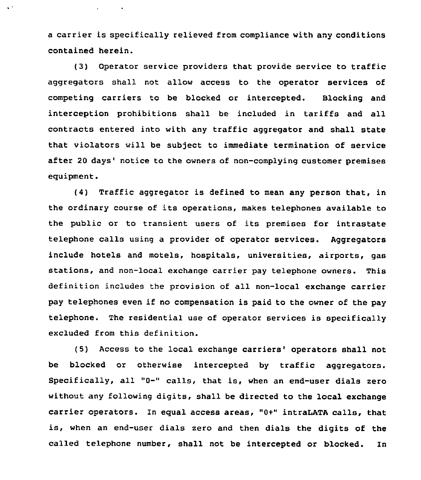a carrier is specifically relieved from compliance with any conditions contained herein.

 $\hat{\mathbf{v}}$  .

 $\mathbf{z} = \mathbf{z} \times \mathbf{z}$  , where  $\mathbf{z}$ 

(3) Operator service providers that provide service to traffic aggregators shall not allow access to the operator services of competing carriers to be blocked or intercepted. Blocking and interception prohibitions shall be included in tariffs and all contracts entered into with any traffic aggregator and shall state that violators will be subject to immediate termination of service after 20 days' notice to the owners of non-complying customer premises equipment.

(4) Traffic aggregator is defined to mean any person that, in the ordinary course of its operations, makes telephones available to the public or to transient users of its premises for intrastate telephone calls using a provider of operator services. Aggregators include hotels and motels, hospitals, universities, airports, gas stations, and non-local exchange carrier pay telephone owners. This definition includes the provision of all non-local exchange carrier pay telephones even if no compensation is paid to the owner of the pay telephone. The residential use of operator services is specifically excluded from this definition.

(5) Access to the local exchange carriers' operators shall not be blocked or otherwise intercepted by traffic aggregators. Specifically, all "0-" calls, that is, when an end-user dials zero without any following digits, shall be directed to the local exchange carrier operators. In equal access areas, "0+" intraLATA calls, that is, when an end-user dials zero and then dials the digits of the called telephone number, shall not be intercepted or blocked. In